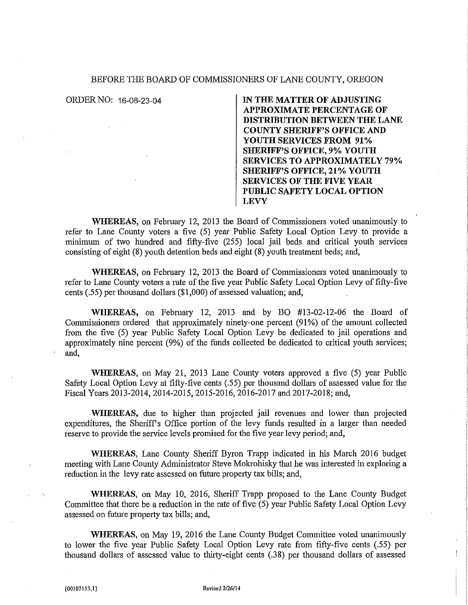## BEFORE THE BOARD OF COMMISSIONERS OF LANE COUNTY, OREGON

ORDER NO: 16-08-23-04 **IN THE MATTER OF ADJUSTING APPROXIMATE PERCENTAGE OF DISTRIBUTION BETWEEN THE LANE COUNTY SHERIFF'S OFFICE AND YOUTH SERVICES FROM 91% SHERIFF'S OFFICE, 9% YOUTH SERVICES TO APPROXIMATELY 79% SHERIFF'S OFFICE, 21% YOUTH SERVICES OF THE FIVE YEAR PUBLIC SAFETY LOCAL OPTION LEVY** 

WHEREAS, on February 12, 2013 the Board of Commissioners voted unanimously to refer to Lane County voters a five (5) year Public Safety Local Option Levy to provide a minimum of two hundred and fifty-five (255) local jail beds and critical youth services consisting of eight (8) youth detention beds and eight (8) youth treatment beds; and,

**WHEREAS,** on February 12, 2013 the Board of Commissioners voted unanimously to refer to Lane County voters a rate of the five year Public Safety Local Option Levy of fifty-five cents (.55) per thousand dollars (\$1,000) of assessed valuation; and,

**WHEREAS,** on February 12, 2013 and by BO #13-02-12-06 the Board of Commissioners ordered that approximately ninety-one percent (91%) of the amount collected from the five (5) year Public Safety Local Option Levy be dedicated to jail operations and approximately nine percent (9%) of the funds collected be dedicated to critical youth services; and,

**WHEREAS,** on May 21, 2013 Lane County voters approved a five (5) year Public Safety Local Option Levy at fifty-five cents (.55) per thousand dollars of assessed value for the Fiscal Years 2013-2014, 2014-2015, 2015-2016, 2016-2017 and 2017-2018; and,

**WHEREAS,** due to higher than projected jail revenues and lower than projected expenditures, the Sheriff's Office portion of the levy funds resulted in a larger than needed reserve to provide the service levels promised for the five year levy period; and,

**WHEREAS,** Lane County Sheriff Byron Trapp indicated in his March 2016 budget meeting with Lane County Administrator Steve Mokrohisky that he was interested in exploring a reduction in the levy rate assessed on future property tax bills; and,

**WHEREAS,** on May 10, 2016, Sheriff Trapp proposed to the Lane County Budget Committee that there be a reduction in the rate of five (5) year Public Safety Local Option Levy assessed on future property tax bills; and,

**WHEREAS,** on May 19, 2016 the Lane County Budget Committee voted unanimously to lower the five year Public Safety Local Option Levy rate from fifty-five cents (.55) per thousand dollars of assessed value to thirty-eight cents (.38) per thousand dollars of assessed